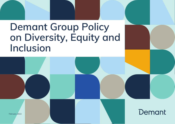# **Demant Group Policy on Diversity, Equity and Inclusion**

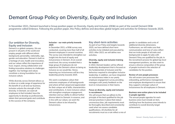# **Demant Group Policy on Diversity, Equity and Inclusion**

In November 2021, Demant launched a Group position paper on Diversity, Equity and Inclusion (DE&I) as part of the overall Demant DE&I programme called Embrace. Following the position paper, this Policy defines and describes global targets and activities for Embrace towards 2025.

# **Our ambition for Diversity, Equity and Inclusion**

Demant is a global company. We are present in all parts of the world and employ people with different ethnic background, personality, nationality, age, gender and education. Demant is built on a heritage of care, health and innovation, and our values reflect the importance of trust, respect, strong collaboration and finding innovative solutions to challenges together. Our heritage and values constitute a strong foundation for an inclusive culture.

While diversity across Demant allows us to draw on a wide range of experience for the benefit of us all and our business, inclusion unlocks the strength of this diversity. In Demant, we want all employees to feel included, have the opportunity to develop as professionals, obtain their personal goals and contribute to the success of the company.

#### **Inclusion - our main priority towards 2025**

In December 2021, a DE&I survey was conducted, covering more than half of all Demant employees in several countries. The survey was intended to strengthen our insight into the level of equity and inclusiveness in Demant. At an overall result level, the survey revealed that a large group of employees do not experience the Demant culture as being as inclusive as we would like. Hence, improving our inclusiveness will be a key leadership priority towards 2025.

We want a workplace culture that welcomes employees of all backgrounds and where all feel valued and appreciated for their unique set of skills, characteristics and contributions. A more inclusive culture will strengthen employee engagement, retention and our ability to attract further diverse talent to Demant. In essence, and in line with our values, we want the Demant culture to be infused by inclusiveness.

# **Key short-term activities**

As part of our Policy and targets towards 2025, we have defined short-term activities to be initiated and executed by 2023. After 2023, we will define new activities.

#### **Diversity, equity and inclusion training for leaders**

In 2022, Demant leaders will be offered leadership development that is focused on the fundamentals of inclusion and the behaviour required to strengthen inclusive leadership. In addition, we have integrated an inclusiveness index in our yearly employee engagement survey providing managers with yearly feedback on the level on inclusiveness in their teams.

### **Focus on diversity, equity and inclusion in recruitments**

We will ensure that we adhere to the principle of the best qualified for the job and put practises in place that reduce unconscious bias. Job requirements must be thoroughly described and consistently used when we assess candidate qualifications. All shortlists for all recruitments must as a rule reflect a mix of gender in candidates and a mix of additional diversity dimensions. Furthermore, we will make sure that communication and tone of voice reflect that we invite people of all traits and backgrounds to apply for jobs with Demant if they are qualified for the job. In the recruitment process for global top-level management positions, we also want to ensure a diverse composition of the group of people involved in the selection of candidates for the position.

#### **Review of core people processes**

We will review core processes like onboarding, performance management and employee development to ensure that they support a stronger culture of inclusiveness for all employees in Demant.

#### **Business area action plans to be included in people agendas**

The annual people agendas for each business area must include an item, clarifying how the business area intends to contribute to overall diversity target achievement.